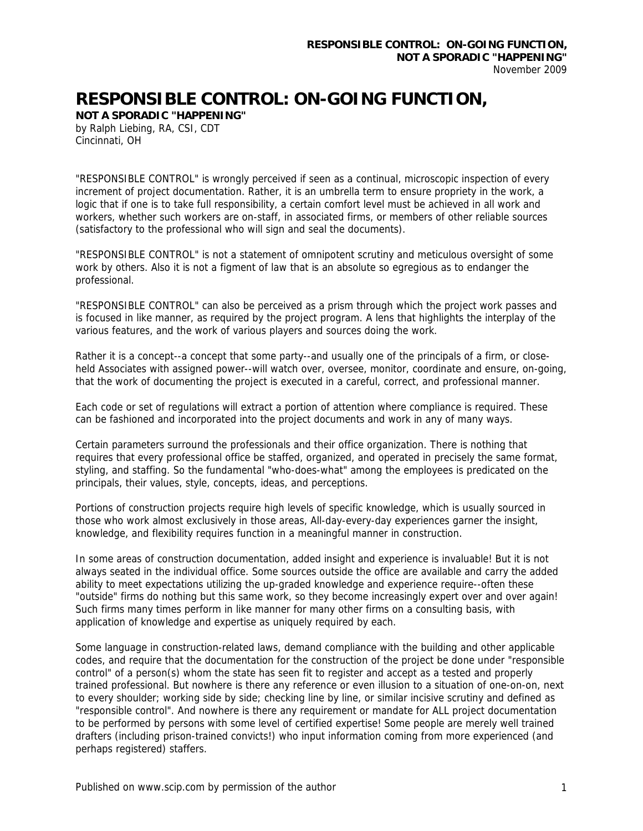## **RESPONSIBLE CONTROL: ON-GOING FUNCTION,**

**NOT A SPORADIC "HAPPENING"**  by Ralph Liebing, RA, CSI, CDT Cincinnati, OH

"RESPONSIBLE CONTROL" is wrongly perceived if seen as a continual, microscopic inspection of every increment of project documentation. Rather, it is an umbrella term to ensure propriety in the work, a logic that if one is to take full responsibility, a certain comfort level must be achieved in all work and workers, whether such workers are on-staff, in associated firms, or members of other reliable sources (satisfactory to the professional who will sign and seal the documents).

"RESPONSIBLE CONTROL" is not a statement of omnipotent scrutiny and meticulous oversight of some work by others. Also it is not a figment of law that is an absolute so egregious as to endanger the professional.

"RESPONSIBLE CONTROL" can also be perceived as a prism through which the project work passes and is focused in like manner, as required by the project program. A lens that highlights the interplay of the various features, and the work of various players and sources doing the work.

Rather it is a concept--a concept that some party--and usually one of the principals of a firm, or closeheld Associates with assigned power--will watch over, oversee, monitor, coordinate and ensure, on-going, that the work of documenting the project is executed in a careful, correct, and professional manner.

Each code or set of regulations will extract a portion of attention where compliance is required. These can be fashioned and incorporated into the project documents and work in any of many ways.

Certain parameters surround the professionals and their office organization. There is nothing that requires that every professional office be staffed, organized, and operated in precisely the same format, styling, and staffing. So the fundamental "who-does-what" among the employees is predicated on the principals, their values, style, concepts, ideas, and perceptions.

Portions of construction projects require high levels of specific knowledge, which is usually sourced in those who work almost exclusively in those areas, All-day-every-day experiences garner the insight, knowledge, and flexibility requires function in a meaningful manner in construction.

In some areas of construction documentation, added insight and experience is invaluable! But it is not always seated in the individual office. Some sources outside the office are available and carry the added ability to meet expectations utilizing the up-graded knowledge and experience require--often these "outside" firms do nothing but this same work, so they become increasingly expert over and over again! Such firms many times perform in like manner for many other firms on a consulting basis, with application of knowledge and expertise as uniquely required by each.

Some language in construction-related laws, demand compliance with the building and other applicable codes, and require that the documentation for the construction of the project be done under "responsible control" of a person(s) whom the state has seen fit to register and accept as a tested and properly trained professional. But nowhere is there any reference or even illusion to a situation of one-on-on, next to every shoulder; working side by side; checking line by line, or similar incisive scrutiny and defined as "responsible control". And nowhere is there any requirement or mandate for ALL project documentation to be performed by persons with some level of certified expertise! Some people are merely well trained drafters (including prison-trained convicts!) who input information coming from more experienced (and perhaps registered) staffers.